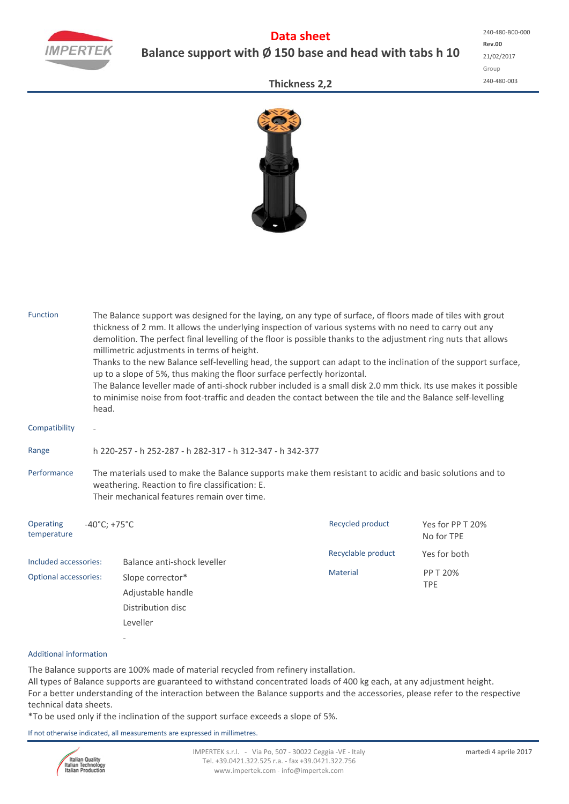

# **Data sheet Balance support with Ø 150 base and head with tabs h 10**

**Rev.00** 21/02/2017 Group 240‐480‐003 240‐480‐B00‐000

### **Thickness 2,2**



| <b>Function</b>              | The Balance support was designed for the laying, on any type of surface, of floors made of tiles with grout<br>thickness of 2 mm. It allows the underlying inspection of various systems with no need to carry out any<br>demolition. The perfect final levelling of the floor is possible thanks to the adjustment ring nuts that allows<br>millimetric adjustments in terms of height.<br>Thanks to the new Balance self-levelling head, the support can adapt to the inclination of the support surface,<br>up to a slope of 5%, thus making the floor surface perfectly horizontal.<br>The Balance leveller made of anti-shock rubber included is a small disk 2.0 mm thick. Its use makes it possible<br>to minimise noise from foot-traffic and deaden the contact between the tile and the Balance self-levelling<br>head. |                                       |                    |                                |  |  |  |  |  |  |
|------------------------------|-----------------------------------------------------------------------------------------------------------------------------------------------------------------------------------------------------------------------------------------------------------------------------------------------------------------------------------------------------------------------------------------------------------------------------------------------------------------------------------------------------------------------------------------------------------------------------------------------------------------------------------------------------------------------------------------------------------------------------------------------------------------------------------------------------------------------------------|---------------------------------------|--------------------|--------------------------------|--|--|--|--|--|--|
| Compatibility                |                                                                                                                                                                                                                                                                                                                                                                                                                                                                                                                                                                                                                                                                                                                                                                                                                                   |                                       |                    |                                |  |  |  |  |  |  |
| Range                        | h 220-257 - h 252-287 - h 282-317 - h 312-347 - h 342-377                                                                                                                                                                                                                                                                                                                                                                                                                                                                                                                                                                                                                                                                                                                                                                         |                                       |                    |                                |  |  |  |  |  |  |
| Performance                  | The materials used to make the Balance supports make them resistant to acidic and basic solutions and to<br>weathering. Reaction to fire classification: E.<br>Their mechanical features remain over time.                                                                                                                                                                                                                                                                                                                                                                                                                                                                                                                                                                                                                        |                                       |                    |                                |  |  |  |  |  |  |
| Operating<br>temperature     | $-40^{\circ}$ C; +75 $^{\circ}$ C                                                                                                                                                                                                                                                                                                                                                                                                                                                                                                                                                                                                                                                                                                                                                                                                 |                                       | Recycled product   | Yes for PP T 20%<br>No for TPE |  |  |  |  |  |  |
| Included accessories:        |                                                                                                                                                                                                                                                                                                                                                                                                                                                                                                                                                                                                                                                                                                                                                                                                                                   | Balance anti-shock leveller           | Recyclable product | Yes for both                   |  |  |  |  |  |  |
| <b>Optional accessories:</b> |                                                                                                                                                                                                                                                                                                                                                                                                                                                                                                                                                                                                                                                                                                                                                                                                                                   | Slope corrector*<br>Adjustable handle | <b>Material</b>    | PP T 20%<br><b>TPE</b>         |  |  |  |  |  |  |
|                              |                                                                                                                                                                                                                                                                                                                                                                                                                                                                                                                                                                                                                                                                                                                                                                                                                                   | Distribution disc<br>Leveller         |                    |                                |  |  |  |  |  |  |
|                              |                                                                                                                                                                                                                                                                                                                                                                                                                                                                                                                                                                                                                                                                                                                                                                                                                                   |                                       |                    |                                |  |  |  |  |  |  |

### Additional information

The Balance supports are 100% made of material recycled from refinery installation. All types of Balance supports are guaranteed to withstand concentrated loads of 400 kg each, at any adjustment height. For a better understanding of the interaction between the Balance supports and the accessories, please refer to the respective technical data sheets.

\*To be used only if the inclination of the support surface exceeds a slope of 5%.

If not otherwise indicated, all measurements are expressed in millimetres.